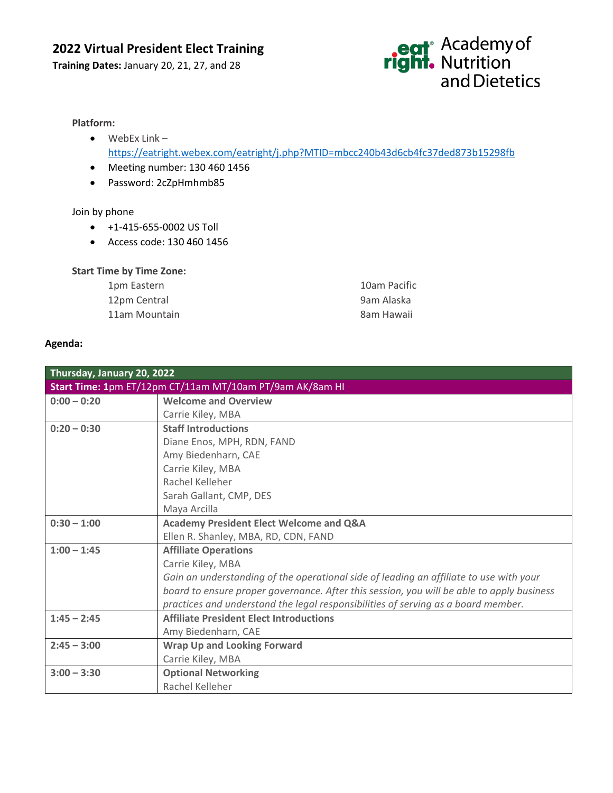### **2022 Virtual President Elect Training**

**Training Dates:** January 20, 21, 27, and 28

## eat<sup>®</sup> Academy of<br> **right.** Nutrition<br>
and Dietetics

#### **Platform:**

- WebEx Link <https://eatright.webex.com/eatright/j.php?MTID=mbcc240b43d6cb4fc37ded873b15298fb>
- Meeting number: 130 460 1456
- Password: 2cZpHmhmb85

#### Join by phone

- +1-415-655-0002 US Toll
- Access code: 130 460 1456

#### **Start Time by Time Zone:**

| 1pm Eastern   | 10am Pacific |
|---------------|--------------|
| 12pm Central  | 9am Alaska   |
| 11am Mountain | 8am Hawaii   |

#### **Agenda:**

| Thursday, January 20, 2022                               |                                                                                           |  |
|----------------------------------------------------------|-------------------------------------------------------------------------------------------|--|
| Start Time: 1pm ET/12pm CT/11am MT/10am PT/9am AK/8am HI |                                                                                           |  |
| $0:00 - 0:20$                                            | <b>Welcome and Overview</b>                                                               |  |
|                                                          | Carrie Kiley, MBA                                                                         |  |
| $0:20 - 0:30$                                            | <b>Staff Introductions</b>                                                                |  |
|                                                          | Diane Enos, MPH, RDN, FAND                                                                |  |
|                                                          | Amy Biedenharn, CAE                                                                       |  |
|                                                          | Carrie Kiley, MBA                                                                         |  |
|                                                          | Rachel Kelleher                                                                           |  |
|                                                          | Sarah Gallant, CMP, DES                                                                   |  |
|                                                          | Maya Arcilla                                                                              |  |
| $0:30 - 1:00$                                            | <b>Academy President Elect Welcome and Q&amp;A</b>                                        |  |
|                                                          | Ellen R. Shanley, MBA, RD, CDN, FAND                                                      |  |
| $1:00 - 1:45$                                            | <b>Affiliate Operations</b>                                                               |  |
|                                                          | Carrie Kiley, MBA                                                                         |  |
|                                                          | Gain an understanding of the operational side of leading an affiliate to use with your    |  |
|                                                          | board to ensure proper governance. After this session, you will be able to apply business |  |
|                                                          | practices and understand the legal responsibilities of serving as a board member.         |  |
| $1:45 - 2:45$                                            | <b>Affiliate President Elect Introductions</b>                                            |  |
|                                                          | Amy Biedenharn, CAE                                                                       |  |
| $2:45 - 3:00$                                            | <b>Wrap Up and Looking Forward</b>                                                        |  |
|                                                          | Carrie Kiley, MBA                                                                         |  |
| $3:00 - 3:30$                                            | <b>Optional Networking</b>                                                                |  |
|                                                          | Rachel Kelleher                                                                           |  |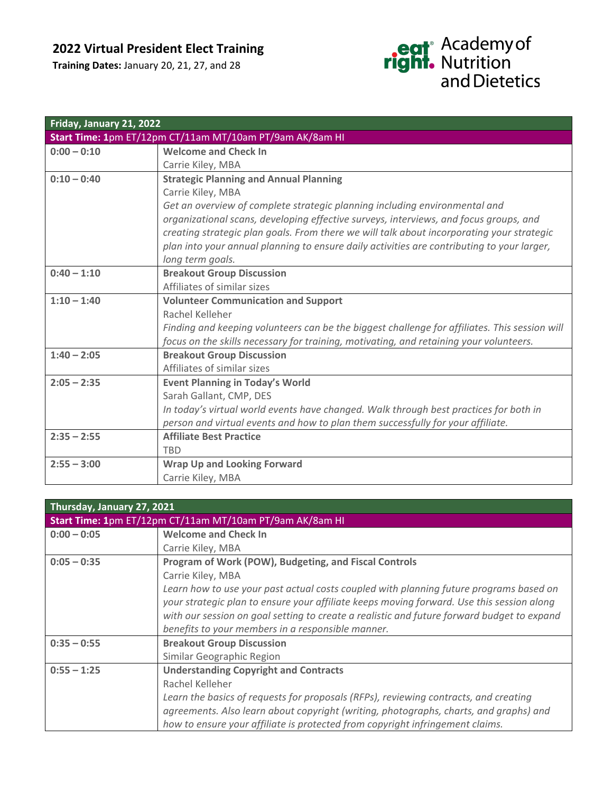## **2022 Virtual President Elect Training**

**Training Dates:** January 20, 21, 27, and 28

# eat<sup>®</sup> Academy of<br> **right.** Nutrition<br>
and Dietetics

| Friday, January 21, 2022                                 |                                                                                               |  |
|----------------------------------------------------------|-----------------------------------------------------------------------------------------------|--|
| Start Time: 1pm ET/12pm CT/11am MT/10am PT/9am AK/8am HI |                                                                                               |  |
| $0:00 - 0:10$                                            | <b>Welcome and Check In</b>                                                                   |  |
|                                                          | Carrie Kiley, MBA                                                                             |  |
| $0:10 - 0:40$                                            | <b>Strategic Planning and Annual Planning</b>                                                 |  |
|                                                          | Carrie Kiley, MBA                                                                             |  |
|                                                          | Get an overview of complete strategic planning including environmental and                    |  |
|                                                          | organizational scans, developing effective surveys, interviews, and focus groups, and         |  |
|                                                          | creating strategic plan goals. From there we will talk about incorporating your strategic     |  |
|                                                          | plan into your annual planning to ensure daily activities are contributing to your larger,    |  |
|                                                          | long term goals.                                                                              |  |
| $0:40 - 1:10$                                            | <b>Breakout Group Discussion</b>                                                              |  |
|                                                          | Affiliates of similar sizes                                                                   |  |
| $1:10 - 1:40$                                            | <b>Volunteer Communication and Support</b>                                                    |  |
|                                                          | Rachel Kelleher                                                                               |  |
|                                                          | Finding and keeping volunteers can be the biggest challenge for affiliates. This session will |  |
|                                                          | focus on the skills necessary for training, motivating, and retaining your volunteers.        |  |
| $1:40 - 2:05$                                            | <b>Breakout Group Discussion</b>                                                              |  |
|                                                          | Affiliates of similar sizes                                                                   |  |
| $2:05 - 2:35$                                            | <b>Event Planning in Today's World</b>                                                        |  |
|                                                          | Sarah Gallant, CMP, DES                                                                       |  |
|                                                          | In today's virtual world events have changed. Walk through best practices for both in         |  |
|                                                          | person and virtual events and how to plan them successfully for your affiliate.               |  |
| $2:35 - 2:55$                                            | <b>Affiliate Best Practice</b>                                                                |  |
|                                                          | <b>TBD</b>                                                                                    |  |
| $2:55 - 3:00$                                            | <b>Wrap Up and Looking Forward</b>                                                            |  |
|                                                          | Carrie Kiley, MBA                                                                             |  |

| Thursday, January 27, 2021                               |                                                                                            |  |
|----------------------------------------------------------|--------------------------------------------------------------------------------------------|--|
| Start Time: 1pm ET/12pm CT/11am MT/10am PT/9am AK/8am HI |                                                                                            |  |
| $0:00 - 0:05$                                            | <b>Welcome and Check In</b>                                                                |  |
|                                                          | Carrie Kiley, MBA                                                                          |  |
| $0:05 - 0:35$                                            | Program of Work (POW), Budgeting, and Fiscal Controls                                      |  |
|                                                          | Carrie Kiley, MBA                                                                          |  |
|                                                          | Learn how to use your past actual costs coupled with planning future programs based on     |  |
|                                                          | your strategic plan to ensure your affiliate keeps moving forward. Use this session along  |  |
|                                                          | with our session on goal setting to create a realistic and future forward budget to expand |  |
|                                                          | benefits to your members in a responsible manner.                                          |  |
| $0:35 - 0:55$                                            | <b>Breakout Group Discussion</b>                                                           |  |
|                                                          | Similar Geographic Region                                                                  |  |
| $0:55 - 1:25$                                            | <b>Understanding Copyright and Contracts</b>                                               |  |
|                                                          | Rachel Kelleher                                                                            |  |
|                                                          | Learn the basics of requests for proposals (RFPs), reviewing contracts, and creating       |  |
|                                                          | agreements. Also learn about copyright (writing, photographs, charts, and graphs) and      |  |
|                                                          | how to ensure your affiliate is protected from copyright infringement claims.              |  |